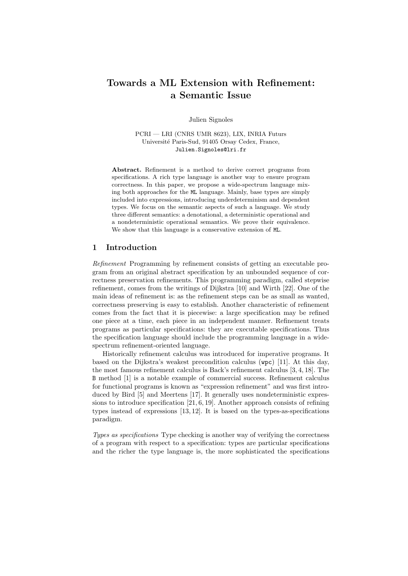# Towards a ML Extension with Refinement: a Semantic Issue

Julien Signoles

PCRI — LRI (CNRS UMR 8623), LIX, INRIA Futurs Universit´e Paris-Sud, 91405 Orsay Cedex, France, Julien.Signoles@lri.fr

Abstract. Refinement is a method to derive correct programs from specifications. A rich type language is another way to ensure program correctness. In this paper, we propose a wide-spectrum language mixing both approaches for the ML language. Mainly, base types are simply included into expressions, introducing underdeterminism and dependent types. We focus on the semantic aspects of such a language. We study three different semantics: a denotational, a deterministic operational and a nondeterministic operational semantics. We prove their equivalence. We show that this language is a conservative extension of ML.

### 1 Introduction

Refinement Programming by refinement consists of getting an executable program from an original abstract specification by an unbounded sequence of correctness preservation refinements. This programming paradigm, called stepwise refinement, comes from the writings of Dijkstra [10] and Wirth [22]. One of the main ideas of refinement is: as the refinement steps can be as small as wanted, correctness preserving is easy to establish. Another characteristic of refinement comes from the fact that it is piecewise: a large specification may be refined one piece at a time, each piece in an independent manner. Refinement treats programs as particular specifications: they are executable specifications. Thus the specification language should include the programming language in a widespectrum refinement-oriented language.

Historically refinement calculus was introduced for imperative programs. It based on the Dijkstra's weakest precondition calculus (wpc) [11]. At this day, the most famous refinement calculus is Back's refinement calculus [3, 4, 18]. The B method [1] is a notable example of commercial success. Refinement calculus for functional programs is known as "expression refinement" and was first introduced by Bird [5] and Meertens [17]. It generally uses nondeterministic expressions to introduce specification [21, 6, 19]. Another approach consists of refining types instead of expressions [13, 12]. It is based on the types-as-specifications paradigm.

Types as specifications Type checking is another way of verifying the correctness of a program with respect to a specification: types are particular specifications and the richer the type language is, the more sophisticated the specifications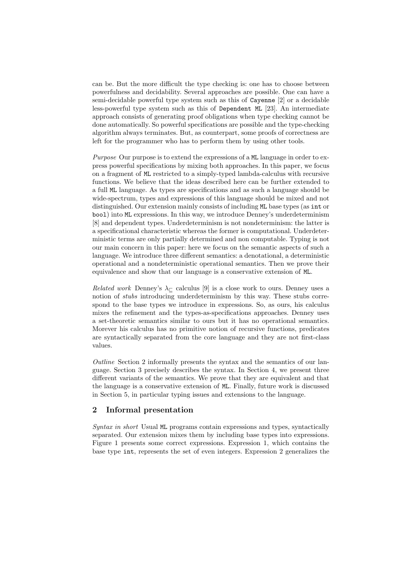can be. But the more difficult the type checking is: one has to choose between powerfulness and decidability. Several approaches are possible. One can have a semi-decidable powerful type system such as this of Cayenne [2] or a decidable less-powerful type system such as this of Dependent ML [23]. An intermediate approach consists of generating proof obligations when type checking cannot be done automatically. So powerful specifications are possible and the type-checking algorithm always terminates. But, as counterpart, some proofs of correctness are left for the programmer who has to perform them by using other tools.

Purpose Our purpose is to extend the expressions of a ML language in order to express powerful specifications by mixing both approaches. In this paper, we focus on a fragment of ML restricted to a simply-typed lambda-calculus with recursive functions. We believe that the ideas described here can be further extended to a full ML language. As types are specifications and as such a language should be wide-spectrum, types and expressions of this language should be mixed and not distinguished. Our extension mainly consists of including ML base types (as int or bool) into ML expressions. In this way, we introduce Denney's underdeterminism [8] and dependent types. Underdeterminism is not nondeterminism: the latter is a specificational characteristic whereas the former is computational. Underdeterministic terms are only partially determined and non computable. Typing is not our main concern in this paper: here we focus on the semantic aspects of such a language. We introduce three different semantics: a denotational, a deterministic operational and a nondeterministic operational semantics. Then we prove their equivalence and show that our language is a conservative extension of ML.

*Related work* Denney's  $\lambda_{\square}$  calculus [9] is a close work to ours. Denney uses a notion of *stubs* introducing underdeterminism by this way. These stubs correspond to the base types we introduce in expressions. So, as ours, his calculus mixes the refinement and the types-as-specifications approaches. Denney uses a set-theoretic semantics similar to ours but it has no operational semantics. Morever his calculus has no primitive notion of recursive functions, predicates are syntactically separated from the core language and they are not first-class values.

Outline Section 2 informally presents the syntax and the semantics of our language. Section 3 precisely describes the syntax. In Section 4, we present three different variants of the semantics. We prove that they are equivalent and that the language is a conservative extension of ML. Finally, future work is discussed in Section 5, in particular typing issues and extensions to the language.

# 2 Informal presentation

Syntax in short Usual ML programs contain expressions and types, syntactically separated. Our extension mixes them by including base types into expressions. Figure 1 presents some correct expressions. Expression 1, which contains the base type int, represents the set of even integers. Expression 2 generalizes the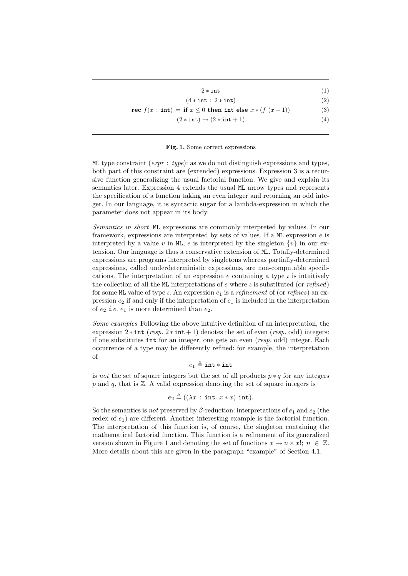$2 * int$  (1)  $(4 * int : 2 * int)$  (2) rec  $f(x : \text{int}) = \text{if } x \leq 0 \text{ then int else } x * (f (x - 1))$  (3)  $(2 * int) \to (2 * int + 1)$  (4)

ML type constraint  $(exp : type)$ : as we do not distinguish expressions and types. both part of this constraint are (extended) expressions. Expression 3 is a recur-

Fig. 1. Some correct expressions

sive function generalizing the usual factorial function. We give and explain its semantics later. Expression 4 extends the usual ML arrow types and represents the specification of a function taking an even integer and returning an odd integer. In our language, it is syntactic sugar for a lambda-expression in which the parameter does not appear in its body.

Semantics in short ML expressions are commonly interpreted by values. In our framework, expressions are interpreted by sets of values. If a  $ML$  expression  $e$  is interpreted by a value v in ML, e is interpreted by the singleton  $\{v\}$  in our extension. Our language is thus a conservative extension of ML. Totally-determined expressions are programs interpreted by singletons whereas partially-determined expressions, called underdeterministic expressions, are non-computable specifications. The interpretation of an expression e containing a type  $\iota$  is intuitively the collection of all the ML interpretations of  $e$  where  $\iota$  is substituted (or *refined*) for some ML value of type  $\iota$ . An expression  $e_1$  is a refinement of (or refines) an expression  $e_2$  if and only if the interpretation of  $e_1$  is included in the interpretation of  $e_2$  *i.e.*  $e_1$  is more determined than  $e_2$ .

Some examples Following the above intuitive definition of an interpretation, the expression  $2 * \text{int} (resp. 2 * \text{int} + 1)$  denotes the set of even (resp. odd) integers: if one substitutes int for an integer, one gets an even (resp. odd) integer. Each occurrence of a type may be differently refined: for example, the interpretation of

$$
e_1 \triangleq \mathtt{int} * \mathtt{int}
$$

is not the set of square integers but the set of all products  $p * q$  for any integers  $p$  and  $q$ , that is  $\mathbb{Z}$ . A valid expression denoting the set of square integers is

$$
e_2 \triangleq ((\lambda x : \text{int. } x * x) \text{ int}).
$$

So the semantics is *not* preserved by  $\beta$ -reduction: interpretations of  $e_1$  and  $e_2$  (the redex of  $e_1$ ) are different. Another interesting example is the factorial function. The interpretation of this function is, of course, the singleton containing the mathematical factorial function. This function is a refinement of its generalized version shown in Figure 1 and denoting the set of functions  $x \mapsto n \times x!$ ;  $n \in \mathbb{Z}$ . More details about this are given in the paragraph "example" of Section 4.1.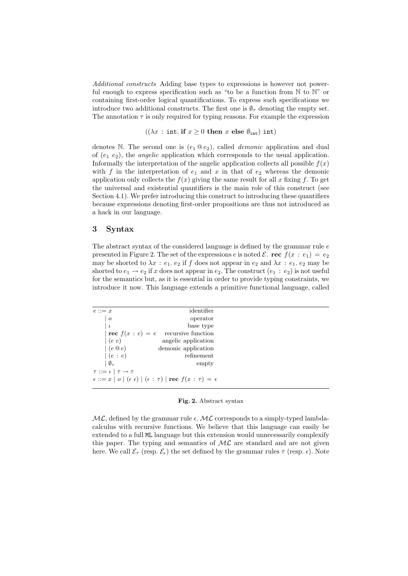Additional constructs Adding base types to expressions is however not powerful enough to express specification such as "to be a function from  $\mathbb N$  to  $\mathbb N$ " or containing first-order logical quantifications. To express such specifications we introduce two additional constructs. The first one is  $\emptyset_{\tau}$  denoting the empty set. The annotation  $\tau$  is only required for typing reasons. For example the expression

 $((\lambda x : \text{int. if } x \geq 0 \text{ then } x \text{ else } \emptyset_{\text{int}}) \text{ int})$ 

denotes N. The second one is  $(e_1 \t\mathbb{Q} e_2)$ , called *demonic* application and dual of  $(e_1, e_2)$ , the *angelic* application which corresponds to the usual application. Informally the interpretation of the angelic application collects all possible  $f(x)$ with  $f$  in the interpretation of  $e_1$  and  $x$  in that of  $e_2$  whereas the demonic application only collects the  $f(x)$  giving the same result for all x fixing f. To get the universal and existential quantifiers is the main role of this construct (see Section 4.1). We prefer introducing this construct to introducing these quantifiers because expressions denoting first-order propositions are thus not introduced as a hack in our language.

#### 3 Syntax

The abstract syntax of the considered language is defined by the grammar rule  $e$ presented in Figure 2. The set of the expressions e is noted  $\mathcal{E}$ . rec  $f(x : e_1) = e_2$ may be shorted to  $\lambda x : e_1 \cdot e_2$  if f does not appear in  $e_2$  and  $\lambda x : e_1 \cdot e_2$  may be shorted to  $e_1 \rightarrow e_2$  if x does not appear in  $e_2$ . The construct  $(e_1 : e_2)$  is not useful for the semantics but, as it is essential in order to provide typing constraints, we introduce it now. This language extends a primitive functional language, called

| $e ::= x$                                                                                                        | identifier                                  |                     |  |  |  |  |
|------------------------------------------------------------------------------------------------------------------|---------------------------------------------|---------------------|--|--|--|--|
|                                                                                                                  | $\boldsymbol{o}$                            | operator            |  |  |  |  |
|                                                                                                                  | $\iota$                                     | base type           |  |  |  |  |
|                                                                                                                  | $\operatorname{rec} f(x : e) = e$           | recursive function  |  |  |  |  |
|                                                                                                                  | (ee)                                        | angelic application |  |  |  |  |
|                                                                                                                  | $(e \t@e)$                                  | demonic application |  |  |  |  |
|                                                                                                                  | $\mid (e : e)$                              | refinement          |  |  |  |  |
|                                                                                                                  | $\theta_{\tau}$                             | empty               |  |  |  |  |
|                                                                                                                  | $\tau ::= \iota \mid \tau \rightarrow \tau$ |                     |  |  |  |  |
| $\epsilon ::= x \mid o \mid (\epsilon \epsilon) \mid (\epsilon : \tau) \mid \textbf{rec} f(x : \tau) = \epsilon$ |                                             |                     |  |  |  |  |
|                                                                                                                  |                                             |                     |  |  |  |  |

#### Fig. 2. Abstract syntax

 $ML$ , defined by the grammar rule  $\epsilon$ .  $ML$  corresponds to a simply-typed lambdacalculus with recursive functions. We believe that this language can easily be extended to a full ML language but this extension would unnecessarily complexify this paper. The typing and semantics of  $ML$  are standard and are not given here. We call  $\mathcal{E}_{\tau}$  (resp.  $\mathcal{E}_{\epsilon}$ ) the set defined by the grammar rules  $\tau$  (resp.  $\epsilon$ ). Note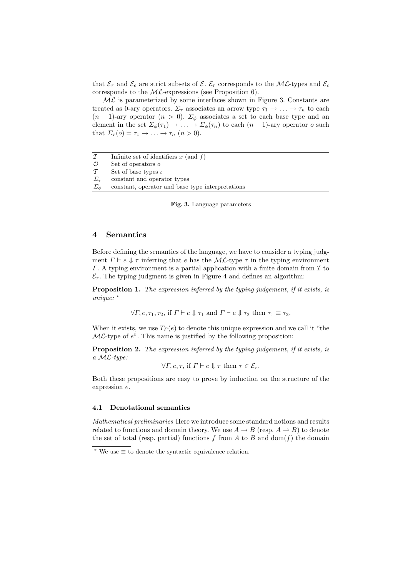that  $\mathcal{E}_{\tau}$  and  $\mathcal{E}_{\epsilon}$  are strict subsets of  $\mathcal{E}$ .  $\mathcal{E}_{\tau}$  corresponds to the ML-types and  $\mathcal{E}_{\epsilon}$ corresponds to the  $ML$ -expressions (see Proposition 6).

 $ML$  is parameterized by some interfaces shown in Figure 3. Constants are treated as 0-ary operators.  $\Sigma_{\tau}$  associates an arrow type  $\tau_1 \to \ldots \to \tau_n$  to each  $(n-1)$ -ary operator  $(n > 0)$ .  $\Sigma_{\phi}$  associates a set to each base type and an element in the set  $\Sigma_{\phi}(\tau_1) \to \ldots \to \Sigma_{\phi}(\tau_n)$  to each  $(n-1)$ -ary operator o such that  $\Sigma_{\tau}(o) = \tau_1 \to \ldots \to \tau_n$   $(n > 0)$ .

- $\overline{\mathcal{I}}$  Infinite set of identifiers x (and f)<br>  $\overline{\mathcal{O}}$  Set of operators  $o$
- Set of operators  $o$
- ${\mathcal T}$  Set of base types  $\iota$
- $\Sigma_{\tau}$  constant and operator types
- $\Sigma_{\phi}$  constant, operator and base type interpretations

Fig. 3. Language parameters

# 4 Semantics

Before defining the semantics of the language, we have to consider a typing judgment  $\Gamma \vdash e \Downarrow \tau$  inferring that e has the ML-type  $\tau$  in the typing environment  $\Gamma$ . A typing environment is a partial application with a finite domain from  $\mathcal I$  to  $\mathcal{E}_{\tau}$ . The typing judgment is given in Figure 4 and defines an algorithm:

**Proposition 1.** The expression inferred by the typing judgement, if it exists, is unique:  $*$ 

$$
\forall \Gamma, e, \tau_1, \tau_2, \text{ if } \Gamma \vdash e \Downarrow \tau_1 \text{ and } \Gamma \vdash e \Downarrow \tau_2 \text{ then } \tau_1 \equiv \tau_2.
$$

When it exists, we use  $T<sub>\Gamma</sub>(e)$  to denote this unique expression and we call it "the  $ML$ -type of  $e$ ". This name is justified by the following proposition:

**Proposition 2.** The expression inferred by the typing judgement, if it exists, is a ML-type:

 $\forall \Gamma, e, \tau$ , if  $\Gamma \vdash e \Downarrow \tau$  then  $\tau \in \mathcal{E}_{\tau}$ .

Both these propositions are easy to prove by induction on the structure of the expression e.

#### 4.1 Denotational semantics

Mathematical preliminaries Here we introduce some standard notions and results related to functions and domain theory. We use  $A \to B$  (resp.  $A \to B$ ) to denote the set of total (resp. partial) functions f from A to B and dom(f) the domain

<sup>&</sup>lt;sup>\*</sup> We use  $\equiv$  to denote the syntactic equivalence relation.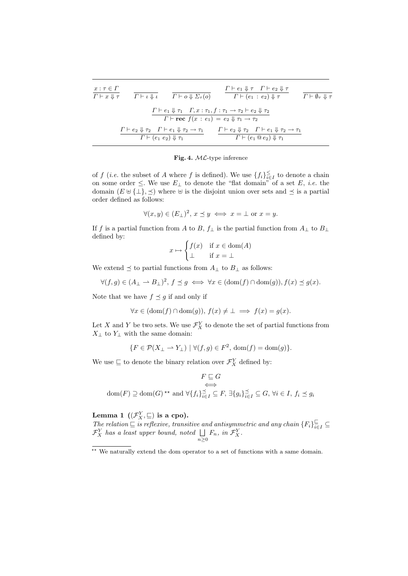$$
\frac{x:\tau \in \Gamma}{\Gamma \vdash x \Downarrow \tau} \qquad \frac{\Gamma \vdash e_1 \Downarrow \tau \quad \Gamma \vdash e_2 \Downarrow \tau}{\Gamma \vdash o \Downarrow \Sigma_{\tau}(o)} \qquad \frac{\Gamma \vdash e_1 \Downarrow \tau \quad \Gamma \vdash e_2 \Downarrow \tau}{\Gamma \vdash (e_1 : e_2) \Downarrow \tau} \qquad \frac{\Gamma \vdash e_1 \Downarrow \tau_1 \quad \Gamma, x : \tau_1, f : \tau_1 \to \tau_2 \vdash e_2 \Downarrow \tau_2}{\Gamma \vdash \text{rec } f(x : e_1) = e_2 \Downarrow \tau_1 \to \tau_2}
$$
\n
$$
\frac{\Gamma \vdash e_2 \Downarrow \tau_2 \quad \Gamma \vdash e_1 \Downarrow \tau_2 \to \tau_1}{\Gamma \vdash (e_1 e_2) \Downarrow \tau_1} \qquad \frac{\Gamma \vdash e_2 \Downarrow \tau_2 \quad \Gamma \vdash e_1 \Downarrow \tau_2 \to \tau_1}{\Gamma \vdash (e_1 @ e_2) \Downarrow \tau_1}
$$

Fig. 4. ML-type inference

of f (*i.e.* the subset of A where f is defined). We use  $\{f_i\}_{i \in I}^{\leq}$  to denote a chain on some order  $\leq$ . We use  $E_{\perp}$  to denote the "flat domain" of a set E, *i.e.* the domain  $(E \oplus {\{\perp\}}, \prec)$  where  $\oplus$  is the disjoint union over sets and  $\prec$  is a partial order defined as follows:

$$
\forall (x, y) \in (E_{\perp})^2, x \preceq y \iff x = \perp \text{ or } x = y.
$$

If f is a partial function from A to B,  $f_{\perp}$  is the partial function from  $A_{\perp}$  to  $B_{\perp}$ defined by:

$$
x \mapsto \begin{cases} f(x) & \text{if } x \in \text{dom}(A) \\ \bot & \text{if } x = \bot \end{cases}
$$

We extend  $\preceq$  to partial functions from  $A_{\perp}$  to  $B_{\perp}$  as follows:

$$
\forall (f,g) \in (A_{\perp} \rightarrow B_{\perp})^2, \, f \preceq g \iff \forall x \in (\text{dom}(f) \cap \text{dom}(g)), \, f(x) \preceq g(x).
$$

Note that we have  $f \preceq g$  if and only if

$$
\forall x \in (\text{dom}(f) \cap \text{dom}(g)), \, f(x) \neq \bot \implies f(x) = g(x).
$$

Let X and Y be two sets. We use  $\mathcal{F}_X^Y$  to denote the set of partial functions from  $X\llcorner$  to  $Y\llcorner$  with the same domain:

$$
\{F \in \mathcal{P}(X_{\perp} \to Y_{\perp}) \mid \forall (f,g) \in F^2, \operatorname{dom}(f) = \operatorname{dom}(g)\}.
$$

We use  $\sqsubseteq$  to denote the binary relation over  $\mathcal{F}_X^Y$  defined by:

$$
F \subseteq G
$$
  
dom(F)  $\supseteq$  dom(G) \*\* and  $\forall \{f_i\}_{i \in I}^{\preceq} \subseteq F$ ,  $\exists \{g_i\}_{i \in I}^{\preceq} \subseteq G$ ,  $\forall i \in I$ ,  $f_i \preceq g_i$ 

Lemma  $1\;\left((\mathcal{F}_X^Y,\sqsubseteq\right)$  is a cpo).

The relation  $\subseteq$  is reflexive, transitive and antisymmetric and any chain  ${F_i}_{i \in I} \subseteq$  $\mathcal{F}_X^Y$  has a least upper bound, noted  $\bigsqcup_{n\geq 0} F_n$ , in  $\mathcal{F}_X^Y$ .

 $\overline{X^*}$  We naturally extend the dom operator to a set of functions with a same domain.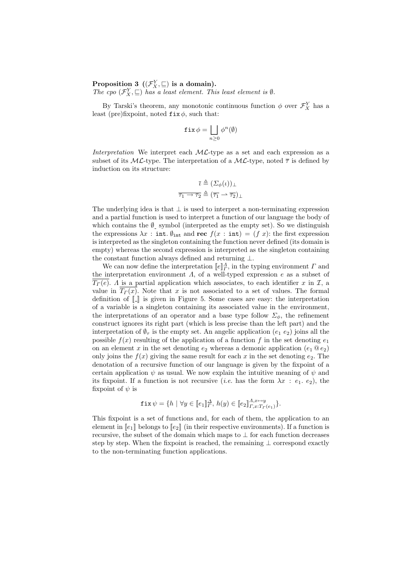# Proposition 3  $((\mathcal{F}_X^Y,\sqsubseteq)$  is a domain).

The cpo  $(\mathcal{F}_X^Y,\sqsubseteq)$  has a least element. This least element is  $\emptyset$ .

By Tarski's theorem, any monotonic continuous function  $\phi$  over  $\mathcal{F}_X^Y$  has a least (pre)fixpoint, noted  $fix \phi$ , such that:

$$
\mathtt{fix}\,\phi=\bigsqcup_{n\geq 0}\phi^n(\emptyset)
$$

Interpretation We interpret each  $ML$ -type as a set and each expression as a subset of its  $ML$ -type. The interpretation of a  $ML$ -type, noted  $\bar{\tau}$  is defined by induction on its structure:

$$
\bar{\iota} \triangleq (\Sigma_{\phi}(\iota))_{\perp}
$$

$$
\overline{\tau_1 \to \tau_2} \triangleq (\overline{\tau_1} \to \overline{\tau_2})_{\perp}
$$

The underlying idea is that  $\perp$  is used to interpret a non-terminating expression and a partial function is used to interpret a function of our language the body of which contains the  $\emptyset$ <sub>-</sub> symbol (interpreted as the empty set). So we distinguish the expressions  $\lambda x$ : int.  $\emptyset$ <sub>int</sub> and **rec**  $f(x : \text{int}) = (f x)$ : the first expression is interpreted as the singleton containing the function never defined (its domain is empty) whereas the second expression is interpreted as the singleton containing the constant function always defined and returning ⊥.

We can now define the interpretation  $[[e]]_T^A$ , in the typing environment  $\Gamma$  and the interpretation environment  $\Lambda$ , of a well-typed expression  $e$  as a subset of  $\overline{T_{\Gamma}(e)}$ . A is a partial application which associates, to each identifier x in  $\mathcal{I}$ , a value in  $T_{\Gamma}(x)$ . Note that x is not associated to a set of values. The formal definition of  $\llbracket \cdot \rrbracket$  is given in Figure 5. Some cases are easy: the interpretation of a variable is a singleton containing its associated value in the environment, the interpretations of an operator and a base type follow  $\Sigma_{\phi}$ , the refinement construct ignores its right part (which is less precise than the left part) and the interpretation of  $\emptyset_{\tau}$  is the empty set. An angelic application  $(e_1 \ e_2)$  joins all the possible  $f(x)$  resulting of the application of a function f in the set denoting  $e_1$ on an element x in the set denoting  $e_2$  whereas a demonic application  $(e_1 \tildot e_2)$ only joins the  $f(x)$  giving the same result for each x in the set denoting  $e_2$ . The denotation of a recursive function of our language is given by the fixpoint of a certain application  $\psi$  as usual. We now explain the intuitive meaning of  $\psi$  and its fixpoint. If a function is not recursive (*i.e.* has the form  $\lambda x$  :  $e_1$ ,  $e_2$ ), the fixpoint of  $\psi$  is

$$
\texttt{fix}\,\psi = \{h \mid \forall y \in [\![ e_1 ]\!]_F^\Delta, \, h(y) \in [\![ e_2 ]\!]_{\Gamma,x:T_\Gamma(e_1)}^{A,x \mapsto y} \}.
$$

This fixpoint is a set of functions and, for each of them, the application to an element in  $\llbracket e_1 \rrbracket$  belongs to  $\llbracket e_2 \rrbracket$  (in their respective environments). If a function is recursive, the subset of the domain which maps to  $\perp$  for each function decreases step by step. When the fixpoint is reached, the remaining  $\perp$  correspond exactly to the non-terminating function applications.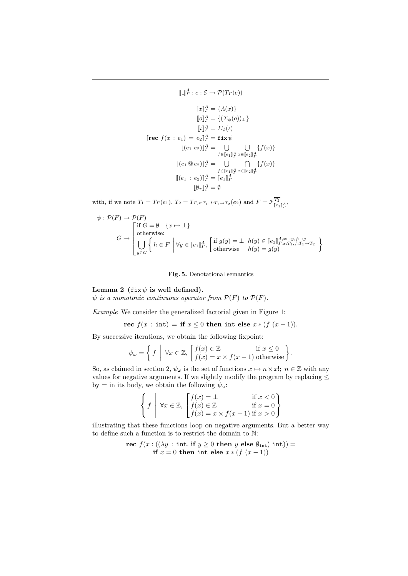$$
[\![\_]\!]_T^A : e : \mathcal{E} \to \mathcal{P}(\overline{T_T(e)})
$$

$$
[\![x]\!]_T^A = \{A(x)\}
$$

$$
[\![o]\!]_T^A = \{(\Sigma_\phi(o))_\bot\}
$$

$$
[\![l]\!]_T^A = \Sigma_\phi(\iota)
$$

$$
[\![\mathbf{rec}\ f(x:e_1) = e_2]\!]_T^A = \mathbf{fix}\ \psi
$$

$$
[\![(e_1 e_2)]\!]_T^A = \bigcup_{f \in [\![e_1]\!]_T^A} \bigcup_{x \in [\![e_2]\!]_T^A} \{f(x)\}
$$

$$
[\![(e_1 @ e_2)]\!]_T^A = \bigcup_{f \in [\![e_1]\!]_T^A} \bigcap_{x \in [\![e_2]\!]_T^A} \{f(x)\}
$$

$$
[\![(e_1:e_2)]\!]_T^A = [\![e_1]\!]_T^A
$$

$$
[\![\![\emptyset_T]\!]_T^A = \emptyset
$$

with, if we note  $T_1 = T_{\Gamma}(e_1)$ ,  $T_2 = T_{\Gamma,x:T_1,f:T_1 \to T_2}(e_2)$  and  $F = \mathcal{F}_{\llbracket e_1 \rrbracket_{\Gamma}^{A}}^{T_2}$ 

$$
\psi : \mathcal{P}(F) \to \mathcal{P}(F)
$$
\n
$$
G \mapsto \begin{bmatrix}\n\text{if } G = \emptyset & \{x \mapsto \bot\} \\
\text{otherwise:} \\
\bigcup_{g \in G} \left\{ h \in F \mid \forall y \in [\![ e_1 ]\!]_1^A, \left[ \text{if } g(y) = \bot \quad h(y) \in [\![ e_2 ]\!]_1^{A, x \mapsto y, f \mapsto g} \right. \\
\text{otherwise} \quad h(y) = g(y)\n\end{bmatrix}
$$

#### Fig. 5. Denotational semantics

#### Lemma 2 (fix  $\psi$  is well defined).

 $\psi$  is a monotonic continuous operator from  $\mathcal{P}(F)$  to  $\mathcal{P}(F)$ .

Example We consider the generalized factorial given in Figure 1:

$$
\textbf{rec } f(x : \textbf{int}) = \textbf{if } x \le 0 \textbf{ then int else } x * (f (x - 1)).
$$

By successive iterations, we obtain the following fixpoint:

$$
\psi_{\omega} = \left\{ f \mid \forall x \in \mathbb{Z}, \left[ \begin{matrix} f(x) \in \mathbb{Z} & \text{if } x \leq 0 \\ f(x) = x \times f(x-1) & \text{otherwise} \end{matrix} \right] \right\}.
$$

So, as claimed in section 2,  $\psi_{\omega}$  is the set of functions  $x \mapsto n \times x!$ ;  $n \in \mathbb{Z}$  with any values for negative arguments. If we slightly modify the program by replacing  $\leq$ by = in its body, we obtain the following  $\psi_{\omega}$ :

$$
\left\{ f \mid \forall x \in \mathbb{Z}, \left[ \begin{array}{l} f(x) = \bot & \text{if } x < 0 \\ f(x) \in \mathbb{Z} & \text{if } x = 0 \\ f(x) = x \times f(x - 1) & \text{if } x > 0 \end{array} \right\}
$$

illustrating that these functions loop on negative arguments. But a better way to define such a function is to restrict the domain to N:

rec 
$$
f(x:((\lambda y: \text{int. if } y \ge 0 \text{ then } y \text{ else } \emptyset_{\text{int}}) \text{ int})) =
$$
  
if  $x = 0$  then int else  $x * (f (x - 1))$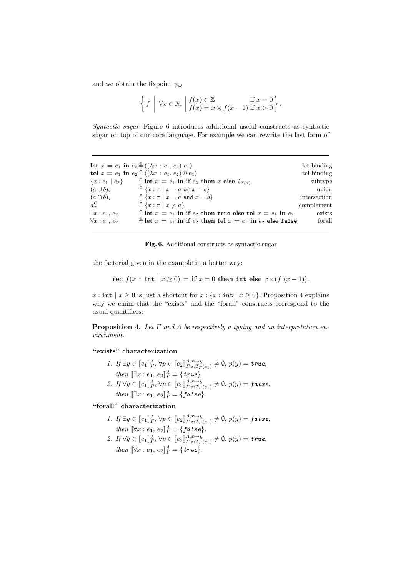and we obtain the fixpoint  $\psi_\omega$ 

$$
\left\{ f \mid \forall x \in \mathbb{N}, \left[ f(x) \in \mathbb{Z} \text{ if } x = 0 \right. \\ \left[ f(x) = x \times f(x-1) \text{ if } x > 0 \right. \right\}.
$$

Syntactic sugar Figure 6 introduces additional useful constructs as syntactic sugar on top of our core language. For example we can rewrite the last form of

|                     | let $x = e_1$ in $e_2 \triangleq ((\lambda x : e_1, e_2) e_1)$                                | let-binding  |
|---------------------|-----------------------------------------------------------------------------------------------|--------------|
|                     | tel $x = e_1$ in $e_2 \triangleq ((\lambda x : e_1, e_2) \mathbb{Q} e_1)$                     | tel-binding  |
|                     | $\{x: e_1 \mid e_2\}$ $\triangleq$ let $x = e_1$ in if $e_2$ then $x$ else $\emptyset_{T(x)}$ | subtype      |
| $(a \cup b)_{\tau}$ | $\hat{=} \{x : \tau \mid x = a \text{ or } x = b\}$                                           | union        |
| $(a\cap b)_{\tau}$  | $\triangleq \{x : \tau \mid x = a \text{ and } x = b\}$                                       | intersection |
| $a_z^C$             | $\triangleq \{x : \tau \mid x \neq a\}$                                                       | complement   |
| $\exists x:e_1,e_2$ | $\triangleq$ let $x = e_1$ in if $e_2$ then true else tel $x = e_1$ in $e_2$                  | exists       |
| $\forall x:e_1,e_2$ | $\triangleq$ let $x = e_1$ in if $e_2$ then tel $x = e_1$ in $e_2$ else false                 | forall       |

Fig. 6. Additional constructs as syntactic sugar

the factorial given in the example in a better way:

rec  $f(x : \text{int} | x \ge 0) = \text{if } x = 0 \text{ then int else } x * (f (x - 1)).$ 

x : int  $x \geq 0$  is just a shortcut for  $x : \{x : \text{int} \mid x \geq 0\}$ . Proposition 4 explains why we claim that the "exists" and the "forall" constructs correspond to the usual quantifiers:

**Proposition 4.** Let  $\Gamma$  and  $\Lambda$  be respectively a typing and an interpretation environment.

#### "exists" characterization

- 1. If  $\exists y \in [e_1]_T^A$ ,  $\forall p \in [e_2]_{T,x:T(e_1)}^{A,x \mapsto y} \neq \emptyset$ ,  $p(y) = \text{true}$ , then  $[\exists x : e_1, e_2]_T^A = \{\text{true}\}.$
- 2. If  $\forall y \in [\![ e_1 ]\!]_I^A, \forall p \in [\![ e_2 ]\!]_{I,x:Tr\, (e_1)}^{A,x \mapsto y} \neq \emptyset, p(y) = \texttt{false},$ then  $[\exists x : e_1, e_2]_T^A = \{false\}.$

#### "forall" characterization

- 1. If  $\exists y \in [e_1]_T^A$ ,  $\forall p \in [e_2]_{T,x:T_{\Gamma}(e_1)}^{A,x \mapsto y} \neq \emptyset$ ,  $p(y) = \text{false}$ , then  $[\forall x : e_1, e_2]_T^A = \{false\}.$
- 2. If  $\forall y \in [e_1]_T^A$ ,  $\forall p \in [e_2]_{T,x:T_F(e_1)}^{A,x \mapsto y} \neq \emptyset$ ,  $p(y) = \text{true}$ , then  $[\forall x : e_1, e_2]_T^A = \{\text{true}\}.$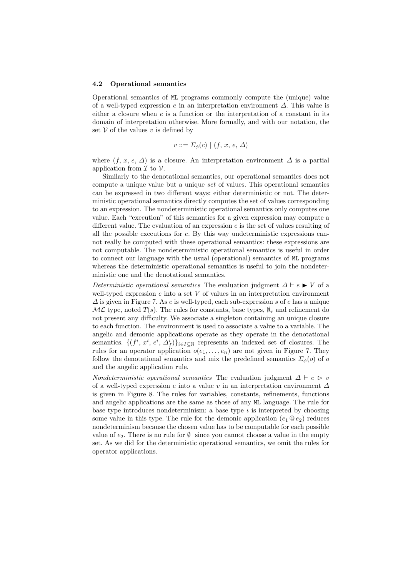#### 4.2 Operational semantics

Operational semantics of ML programs commonly compute the (unique) value of a well-typed expression e in an interpretation environment  $\Delta$ . This value is either a closure when  $e$  is a function or the interpretation of a constant in its domain of interpretation otherwise. More formally, and with our notation, the set  $V$  of the values  $v$  is defined by

$$
v ::= \Sigma_{\phi}(c) \mid (f, x, e, \Delta)
$$

where  $(f, x, e, \Delta)$  is a closure. An interpretation environment  $\Delta$  is a partial application from  $\mathcal I$  to  $\mathcal V$ .

Similarly to the denotational semantics, our operational semantics does not compute a unique value but a unique set of values. This operational semantics can be expressed in two different ways: either deterministic or not. The deterministic operational semantics directly computes the set of values corresponding to an expression. The nondeterministic operational semantics only computes one value. Each "execution" of this semantics for a given expression may compute a different value. The evaluation of an expression  $e$  is the set of values resulting of all the possible executions for e. By this way undeterministic expressions cannot really be computed with these operational semantics: these expressions are not computable. The nondeterministic operational semantics is useful in order to connect our language with the usual (operational) semantics of ML programs whereas the deterministic operational semantics is useful to join the nondeterministic one and the denotational semantics.

Deterministic operational semantics The evaluation judgment  $\Delta \vdash e \blacktriangleright V$  of a well-typed expression  $e$  into a set  $V$  of values in an interpretation environment  $\Delta$  is given in Figure 7. As e is well-typed, each sub-expression s of e has a unique  $ML$  type, noted  $T(s)$ . The rules for constants, base types,  $\mathcal{O}_\tau$  and refinement do not present any difficulty. We associate a singleton containing an unique closure to each function. The environment is used to associate a value to a variable. The angelic and demonic applications operate as they operate in the denotational semantics.  $\{(f^i, x^i, e^i, \Delta_f^i)\}_{i \in I \subseteq \mathbb{N}}$  represents an indexed set of closures. The rules for an operator application  $o(e_1, \ldots, e_n)$  are not given in Figure 7. They follow the denotational semantics and mix the predefined semantics  $\Sigma_{\phi}(o)$  of o and the angelic application rule.

Nondeterministic operational semantics The evaluation judgment  $\Delta \vdash e \triangleright v$ of a well-typed expression e into a value v in an interpretation environment  $\Delta$ is given in Figure 8. The rules for variables, constants, refinements, functions and angelic applications are the same as those of any ML language. The rule for base type introduces nondeterminism: a base type  $\iota$  is interpreted by choosing some value in this type. The rule for the demonic application  $(e_1 \tildot e_2)$  reduces nondeterminism because the chosen value has to be computable for each possible value of  $e_2$ . There is no rule for  $\emptyset$  since you cannot choose a value in the empty set. As we did for the deterministic operational semantics, we omit the rules for operator applications.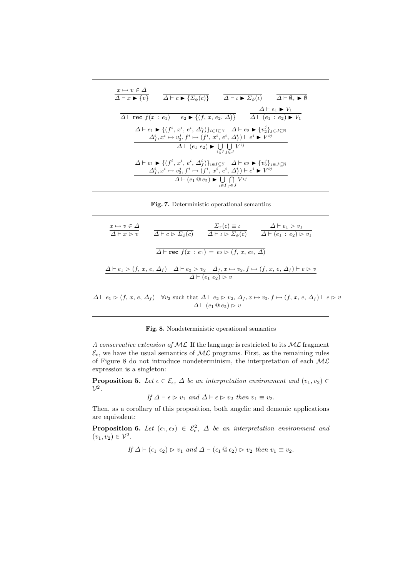$$
\frac{x \mapsto v \in \Delta}{\Delta \vdash x \blacktriangleright \{v\}} \qquad \frac{\Delta \vdash c \blacktriangleright \{\Sigma_{\phi}(c)\}}{\Delta \vdash v \blacktriangleright \Sigma_{\phi}(t)} \qquad \frac{\Delta \vdash \emptyset_{\tau} \blacktriangleright \emptyset}{\Delta \vdash v \blacktriangleright \Sigma_{\phi}(t)} \n\frac{\Delta \vdash e_1 \blacktriangleright V_1}{\Delta \vdash \text{rec } f(x : e_1) = e_2 \blacktriangleright \{(f, x, e_2, \Delta)\}} \qquad \frac{\Delta \vdash e_1 \blacktriangleright V_1}{\Delta \vdash (e_1 : e_2) \blacktriangleright V_1} \n\frac{\Delta \vdash e_1 \blacktriangleright \{(f^i, x^i, e^i, \Delta_f^i)\}_{i \in I \subseteq \mathbb{N}}}{\Delta \vdash (e_1 : e_2) \blacktriangleright \{v^{i^j}\}} \qquad \frac{\Delta \vdash e_2 \blacktriangleright \{v^{j^j}\}_{j \in J \subseteq \mathbb{N}}}{\Delta \vdash (e_1 e_2) \blacktriangleright \bigcup_{i \in I \subseteq \mathbb{N}} \bigcup_{j \in J} V^{ij}}
$$
\n
$$
\Delta \vdash e_1 \blacktriangleright \{(f^i, x^i, e^i, \Delta_f^i)\}_{i \in I \subseteq \mathbb{N}} \qquad \Delta \vdash e_2 \blacktriangleright \{v^{j^j}\}_{j \in J \subseteq \mathbb{N}}
$$
\n
$$
\frac{\Delta_{f^i, x^i \mapsto v^{j}_2, f^i \mapsto (f^i, x^i, e^i, \Delta_f^i) \models e^i \blacktriangleright V^{ij}}}{\Delta \vdash (e_1 \otimes e_2) \blacktriangleright \bigcup_{i \in I \subseteq J} V^{ij}}
$$

Fig. 7. Deterministic operational semantics

| $x \mapsto v \in \Delta$<br>$\Delta \vdash x \rhd v$                                                                                                                                                                                                                                             | $\Delta \vdash c \triangleright \Sigma_{\phi}(c)$                                                                                                                                                                                                                                                                                                   | $\Sigma_{\tau}(c) \equiv \iota$<br>$\Delta \vdash \iota \triangleright \varSigma_{\phi}(c)$ | $\Delta \vdash e_1 \triangleright v_1$<br>$\Delta \vdash (e_1 : e_2) \triangleright v_1$ |  |  |  |  |
|--------------------------------------------------------------------------------------------------------------------------------------------------------------------------------------------------------------------------------------------------------------------------------------------------|-----------------------------------------------------------------------------------------------------------------------------------------------------------------------------------------------------------------------------------------------------------------------------------------------------------------------------------------------------|---------------------------------------------------------------------------------------------|------------------------------------------------------------------------------------------|--|--|--|--|
| $\Delta \vdash$ rec $f(x : e_1) = e_2 \triangleright (f, x, e_2, \Delta)$                                                                                                                                                                                                                        |                                                                                                                                                                                                                                                                                                                                                     |                                                                                             |                                                                                          |  |  |  |  |
| $\Delta \vdash e_1 \triangleright (f, x, e, \Delta_f) \quad \Delta \vdash e_2 \triangleright v_2 \quad \Delta_f, x \mapsto v_2, f \mapsto (f, x, e, \Delta_f) \vdash e \triangleright v$<br>$\Delta \vdash (e_1 \ e_2) \triangleright v$                                                         |                                                                                                                                                                                                                                                                                                                                                     |                                                                                             |                                                                                          |  |  |  |  |
| $\mathbf{A}$ and $\mathbf{A}$ and $\mathbf{A}$ and $\mathbf{A}$ and $\mathbf{A}$ and $\mathbf{A}$ and $\mathbf{A}$ and $\mathbf{A}$ and $\mathbf{A}$ and $\mathbf{A}$ and $\mathbf{A}$ and $\mathbf{A}$ and $\mathbf{A}$ and $\mathbf{A}$ and $\mathbf{A}$ and $\mathbf{A}$ and $\mathbf{A}$ and | $\overline{A}$ , $\overline{A}$ , $\overline{A}$ , $\overline{A}$ , $\overline{A}$ , $\overline{A}$ , $\overline{A}$ , $\overline{A}$ , $\overline{A}$ , $\overline{A}$ , $\overline{A}$ , $\overline{A}$ , $\overline{A}$ , $\overline{A}$ , $\overline{A}$ , $\overline{A}$ , $\overline{A}$ , $\overline{A}$ , $\overline{A}$ , $\overline{A}$ , |                                                                                             |                                                                                          |  |  |  |  |

 $\label{eq:delta} \Delta \vdash e_1 \vartriangleright (f,\, x,\, e,\, \Delta_f) \quad \forall v_2 \text{ such that } \Delta \vdash e_2 \vartriangleright v_2,\, \Delta_f, x \mapsto v_2, f \mapsto (f,\, x,\, e,\, \Delta_f) \vdash e \vartriangleright v_2$  $\overline{\Delta \vdash (e_1 \oplus e_2) \rhd v}$ 

#### Fig. 8. Nondeterministic operational semantics

A conservative extension of  $ML$  If the language is restricted to its  $ML$  fragment  $\mathcal{E}_{\epsilon}$ , we have the usual semantics of  $\mathcal{ML}$  programs. First, as the remaining rules of Figure 8 do not introduce nondeterminism, the interpretation of each  $ML$ expression is a singleton:

**Proposition 5.** Let  $\epsilon \in \mathcal{E}_{\epsilon}$ ,  $\Delta$  be an interpretation environment and  $(v_1, v_2) \in$  $\mathcal{V}^2$  .

If 
$$
\Delta \vdash \epsilon \rhd v_1
$$
 and  $\Delta \vdash \epsilon \rhd v_2$  then  $v_1 \equiv v_2$ .

Then, as a corollary of this proposition, both angelic and demonic applications are equivalent:

**Proposition 6.** Let  $(\epsilon_1, \epsilon_2) \in \mathcal{E}_{\epsilon}^2$ ,  $\Delta$  be an interpretation environment and  $(v_1, v_2) \in \mathcal{V}^2$ .

If  $\Delta \vdash (\epsilon_1 \epsilon_2) \rhd v_1$  and  $\Delta \vdash (\epsilon_1 \t@ \epsilon_2) \rhd v_2$  then  $v_1 \equiv v_2$ .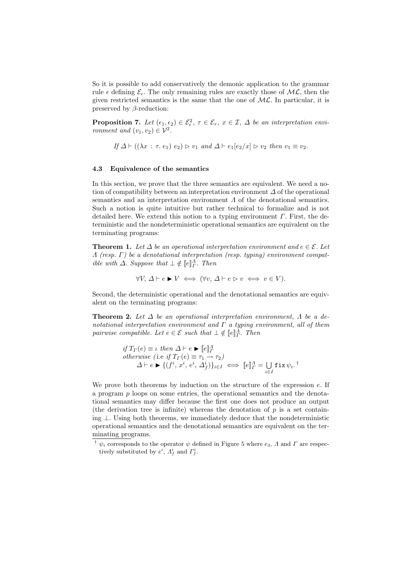So it is possible to add conservatively the demonic application to the grammar rule  $\epsilon$  defining  $\mathcal{E}_{\epsilon}$ . The only remaining rules are exactly those of  $\mathcal{ML}$ , then the given restricted semantics is the same that the one of  $ML$ . In particular, it is preserved by  $\beta$ -reduction:

**Proposition 7.** Let  $(\epsilon_1, \epsilon_2) \in \mathcal{E}_{\epsilon}^2$ ,  $\tau \in \mathcal{E}_{\tau}$ ,  $x \in \mathcal{I}$ ,  $\Delta$  be an interpretation environment and  $(v_1, v_2) \in \mathcal{V}^2$ .

If  $\Delta \vdash ((\lambda x : \tau, e_1) \ e_2) \rhd v_1$  and  $\Delta \vdash e_1[e_2/x] \rhd v_2$  then  $v_1 \equiv v_2$ .

#### 4.3 Equivalence of the semantics

In this section, we prove that the three semantics are equivalent. We need a notion of compatibility between an interpretation environment  $\Delta$  of the operational semantics and an interpretation environment  $\Lambda$  of the denotational semantics. Such a notion is quite intuitive but rather technical to formalize and is not detailed here. We extend this notion to a typing environment  $\Gamma$ . First, the deterministic and the nondeterministic operational semantics are equivalent on the terminating programs:

**Theorem 1.** Let  $\Delta$  be an operational interpretation environment and  $e \in \mathcal{E}$ . Let  $\Lambda$  (resp.  $\Gamma$ ) be a denotational interpretation (resp. typing) environment compat*ible with*  $\Delta$ . Suppose that  $\perp \notin [\![e]\!]_F^A$ . Then

$$
\forall V, \, \Delta \vdash e \blacktriangleright V \iff (\forall v, \, \Delta \vdash e \rhd v \iff v \in V).
$$

Second, the deterministic operational and the denotational semantics are equivalent on the terminating programs:

**Theorem 2.** Let  $\Delta$  be an operational interpretation environment,  $\Lambda$  be a denotational interpretation environment and  $\Gamma$  a typing environment, all of them pairwise compatible. Let  $e \in \mathcal{E}$  such that  $\perp \notin [\![e]\!]_T^A$ . Then

$$
\begin{array}{l}\n\text{if } T_{\Gamma}(e) \equiv \iota \text{ then } \Delta \vdash e \blacktriangleright \llbracket e \rrbracket_{\Gamma}^{A} \\
\text{otherwise (i.e. if } T_{\Gamma}(e) \equiv \tau_{1} \rightarrow \tau_{2}) \\
\Delta \vdash e \blacktriangleright \{(f^{i}, x^{i}, e^{i}, \Delta_{f}^{i})\}_{i \in I} \iff \llbracket e \rrbracket_{\Gamma}^{A} = \bigcup_{i \in I} \text{fix } \psi_{i}.^{\dagger}\n\end{array}
$$

We prove both theorems by induction on the structure of the expression  $e$ . If a program  $p$  loops on some entries, the operational semantics and the denotational semantics may differ because the first one does not produce an output (the derivation tree is infinite) whereas the denotation of  $p$  is a set containing ⊥. Using both theorems, we immediately deduce that the nondeterministic operational semantics and the denotational semantics are equivalent on the terminating programs.

 $\psi_i$  corresponds to the operator  $\psi$  defined in Figure 5 where  $e_3$ ,  $\Lambda$  and  $\Gamma$  are respectively substituted by  $e^i$ ,  $\Lambda_f^i$  and  $\Gamma_f^i$ .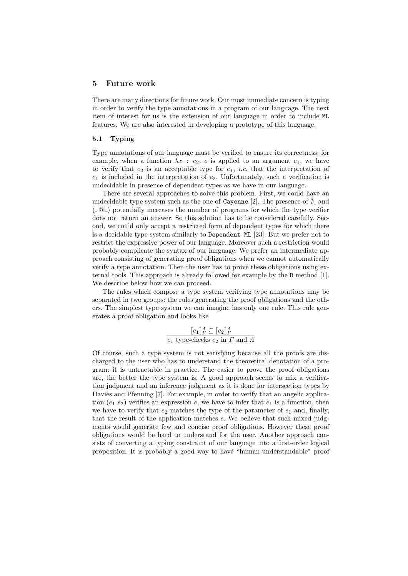#### 5 Future work

There are many directions for future work. Our most immediate concern is typing in order to verify the type annotations in a program of our language. The next item of interest for us is the extension of our language in order to include ML features. We are also interested in developing a prototype of this language.

#### 5.1 Typing

Type annotations of our language must be verified to ensure its correctness: for example, when a function  $\lambda x$ :  $e_2$ . e is applied to an argument  $e_1$ , we have to verify that  $e_2$  is an acceptable type for  $e_1$ , *i.e.* that the interpretation of  $e_1$  is included in the interpretation of  $e_2$ . Unfortunately, such a verification is undecidable in presence of dependent types as we have in our language.

There are several approaches to solve this problem. First, we could have an undecidable type system such as the one of Cayenne [2]. The presence of  $\emptyset$  and  $(\Box \, \mathbb{Q})$  potentially increases the number of programs for which the type verifier does not return an answer. So this solution has to be considered carefully. Second, we could only accept a restricted form of dependent types for which there is a decidable type system similarly to Dependent ML [23]. But we prefer not to restrict the expressive power of our language. Moreover such a restriction would probably complicate the syntax of our language. We prefer an intermediate approach consisting of generating proof obligations when we cannot automatically verify a type annotation. Then the user has to prove these obligations using external tools. This approach is already followed for example by the B method [1]. We describe below how we can proceed.

The rules which compose a type system verifying type annotations may be separated in two groups: the rules generating the proof obligations and the others. The simplest type system we can imagine has only one rule. This rule generates a proof obligation and looks like

$$
\frac{\llbracket e_1 \rrbracket_{\Gamma}^A \subseteq \llbracket e_2 \rrbracket_{\Gamma}^A}{e_1 \text{ type-checks } e_2 \text{ in } \Gamma \text{ and } A}
$$

Of course, such a type system is not satisfying because all the proofs are discharged to the user who has to understand the theoretical denotation of a program: it is untractable in practice. The easier to prove the proof obligations are, the better the type system is. A good approach seems to mix a verification judgment and an inference judgment as it is done for intersection types by Davies and Pfenning [7]. For example, in order to verify that an angelic application  $(e_1 \ e_2)$  verifies an expression e, we have to infer that  $e_1$  is a function, then we have to verify that  $e_2$  matches the type of the parameter of  $e_1$  and, finally, that the result of the application matches e. We believe that such mixed judgments would generate few and concise proof obligations. However these proof obligations would be hard to understand for the user. Another approach consists of converting a typing constraint of our language into a first-order logical proposition. It is probably a good way to have "human-understandable" proof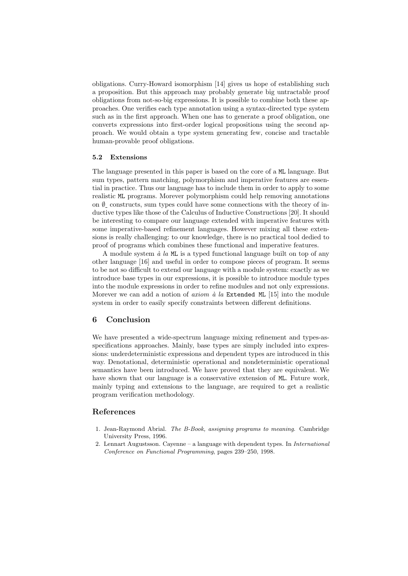obligations. Curry-Howard isomorphism [14] gives us hope of establishing such a proposition. But this approach may probably generate big untractable proof obligations from not-so-big expressions. It is possible to combine both these approaches. One verifies each type annotation using a syntax-directed type system such as in the first approach. When one has to generate a proof obligation, one converts expressions into first-order logical propositions using the second approach. We would obtain a type system generating few, concise and tractable human-provable proof obligations.

#### 5.2 Extensions

The language presented in this paper is based on the core of a ML language. But sum types, pattern matching, polymorphism and imperative features are essential in practice. Thus our language has to include them in order to apply to some realistic ML programs. Morever polymorphism could help removing annotations on  $\emptyset$  constructs, sum types could have some connections with the theory of inductive types like those of the Calculus of Inductive Constructions [20]. It should be interesting to compare our language extended with imperative features with some imperative-based refinement languages. However mixing all these extensions is really challenging: to our knowledge, there is no practical tool dedied to proof of programs which combines these functional and imperative features.

A module system  $\dot{a}$  la ML is a typed functional language built on top of any other language [16] and useful in order to compose pieces of program. It seems to be not so difficult to extend our language with a module system: exactly as we introduce base types in our expressions, it is possible to introduce module types into the module expressions in order to refine modules and not only expressions. Morever we can add a notion of *axiom*  $\dot{a}$  la Extended ML [15] into the module system in order to easily specify constraints between different definitions.

#### 6 Conclusion

We have presented a wide-spectrum language mixing refinement and types-asspecifications approaches. Mainly, base types are simply included into expressions: underdeterministic expressions and dependent types are introduced in this way. Denotational, deterministic operational and nondeterministic operational semantics have been introduced. We have proved that they are equivalent. We have shown that our language is a conservative extension of ML. Future work, mainly typing and extensions to the language, are required to get a realistic program verification methodology.

# References

- 1. Jean-Raymond Abrial. The B-Book, assigning programs to meaning. Cambridge University Press, 1996.
- 2. Lennart Augustsson. Cayenne a language with dependent types. In International Conference on Functional Programming, pages 239–250, 1998.